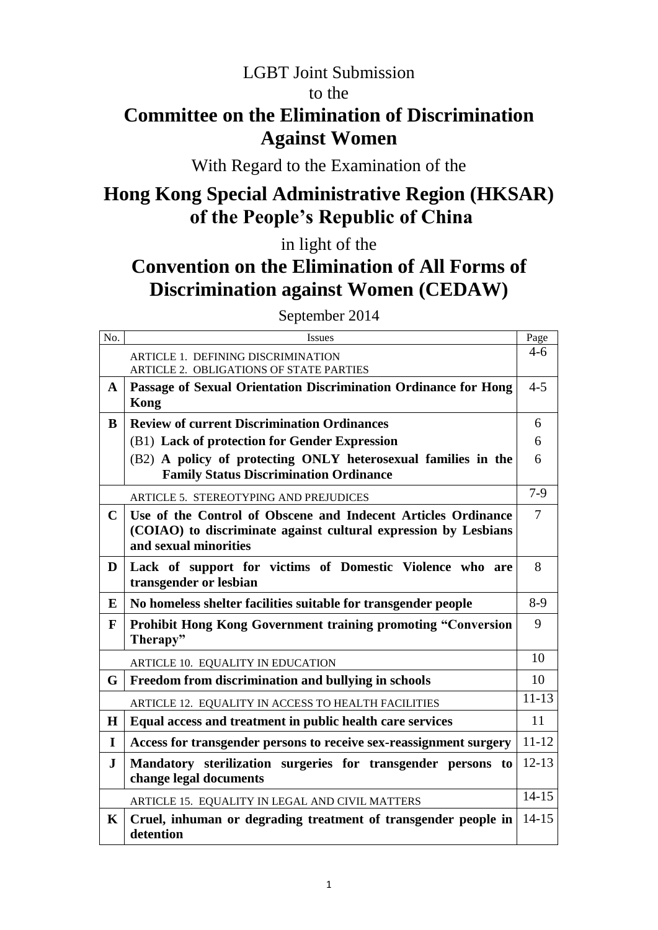# LGBT Joint Submission to the **Committee on the Elimination of Discrimination Against Women**

## With Regard to the Examination of the

# **Hong Kong Special Administrative Region (HKSAR) of the People's Republic of China**

in light of the

# **Convention on the Elimination of All Forms of Discrimination against Women (CEDAW)**

September 2014

| No.          | Issues                                                             | Page           |
|--------------|--------------------------------------------------------------------|----------------|
|              | ARTICLE 1. DEFINING DISCRIMINATION                                 | $4-6$          |
|              | ARTICLE 2. OBLIGATIONS OF STATE PARTIES                            |                |
| $\mathbf{A}$ | Passage of Sexual Orientation Discrimination Ordinance for Hong    | $4 - 5$        |
|              | <b>Kong</b>                                                        |                |
| B            | <b>Review of current Discrimination Ordinances</b>                 | 6              |
|              | (B1) Lack of protection for Gender Expression                      | 6              |
|              | (B2) A policy of protecting ONLY heterosexual families in the      | 6              |
|              | <b>Family Status Discrimination Ordinance</b>                      |                |
|              | <b>ARTICLE 5. STEREOTYPING AND PREJUDICES</b>                      | $7-9$          |
| $\mathbf C$  | Use of the Control of Obscene and Indecent Articles Ordinance      | $\overline{7}$ |
|              | (COIAO) to discriminate against cultural expression by Lesbians    |                |
|              | and sexual minorities                                              |                |
| D            | Lack of support for victims of Domestic Violence who are           | 8              |
|              | transgender or lesbian                                             |                |
| E            | No homeless shelter facilities suitable for transgender people     | $8-9$          |
| F            | Prohibit Hong Kong Government training promoting "Conversion       | 9              |
|              | Therapy"                                                           |                |
|              | ARTICLE 10. EQUALITY IN EDUCATION                                  | 10             |
| G            | Freedom from discrimination and bullying in schools                | 10             |
|              | ARTICLE 12. EQUALITY IN ACCESS TO HEALTH FACILITIES                | $11 - 13$      |
| H            | Equal access and treatment in public health care services          | 11             |
| I            | Access for transgender persons to receive sex-reassignment surgery | $11 - 12$      |
| ${\bf J}$    | Mandatory sterilization surgeries for transgender persons to       | $12 - 13$      |
|              | change legal documents                                             |                |
|              | ARTICLE 15. EQUALITY IN LEGAL AND CIVIL MATTERS                    | $14 - 15$      |
| $\mathbf K$  | Cruel, inhuman or degrading treatment of transgender people in     | $14 - 15$      |
|              | detention                                                          |                |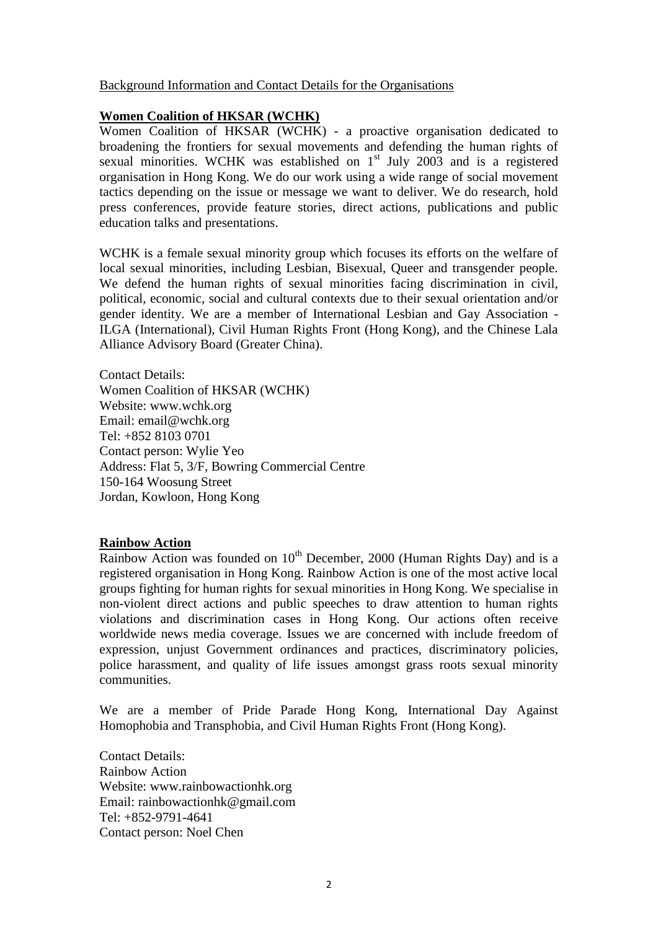### Background Information and Contact Details for the Organisations

### **Women Coalition of HKSAR (WCHK)**

Women Coalition of HKSAR (WCHK) - a proactive organisation dedicated to broadening the frontiers for sexual movements and defending the human rights of sexual minorities. WCHK was established on  $1<sup>st</sup>$  July 2003 and is a registered organisation in Hong Kong. We do our work using a wide range of social movement tactics depending on the issue or message we want to deliver. We do research, hold press conferences, provide feature stories, direct actions, publications and public education talks and presentations.

WCHK is a female sexual minority group which focuses its efforts on the welfare of local sexual minorities, including Lesbian, Bisexual, Queer and transgender people. We defend the human rights of sexual minorities facing discrimination in civil, political, economic, social and cultural contexts due to their sexual orientation and/or gender identity. We are a member of International Lesbian and Gay Association - ILGA (International), Civil Human Rights Front (Hong Kong), and the Chinese Lala Alliance Advisory Board (Greater China).

Contact Details: Women Coalition of HKSAR (WCHK) Website: www.wchk.org Email: email@wchk.org Tel: +852 8103 0701 Contact person: Wylie Yeo Address: Flat 5, 3/F, Bowring Commercial Centre 150-164 Woosung Street Jordan, Kowloon, Hong Kong

### **Rainbow Action**

Rainbow Action was founded on  $10^{th}$  December, 2000 (Human Rights Day) and is a registered organisation in Hong Kong. Rainbow Action is one of the most active local groups fighting for human rights for sexual minorities in Hong Kong. We specialise in non-violent direct actions and public speeches to draw attention to human rights violations and discrimination cases in Hong Kong. Our actions often receive worldwide news media coverage. Issues we are concerned with include freedom of expression, unjust Government ordinances and practices, discriminatory policies, police harassment, and quality of life issues amongst grass roots sexual minority communities.

We are a member of Pride Parade Hong Kong, International Day Against Homophobia and Transphobia, and Civil Human Rights Front (Hong Kong).

Contact Details: Rainbow Action Website: www.rainbowactionhk.org Email: rainbowactionhk@gmail.com Tel: +852-9791-4641 Contact person: Noel Chen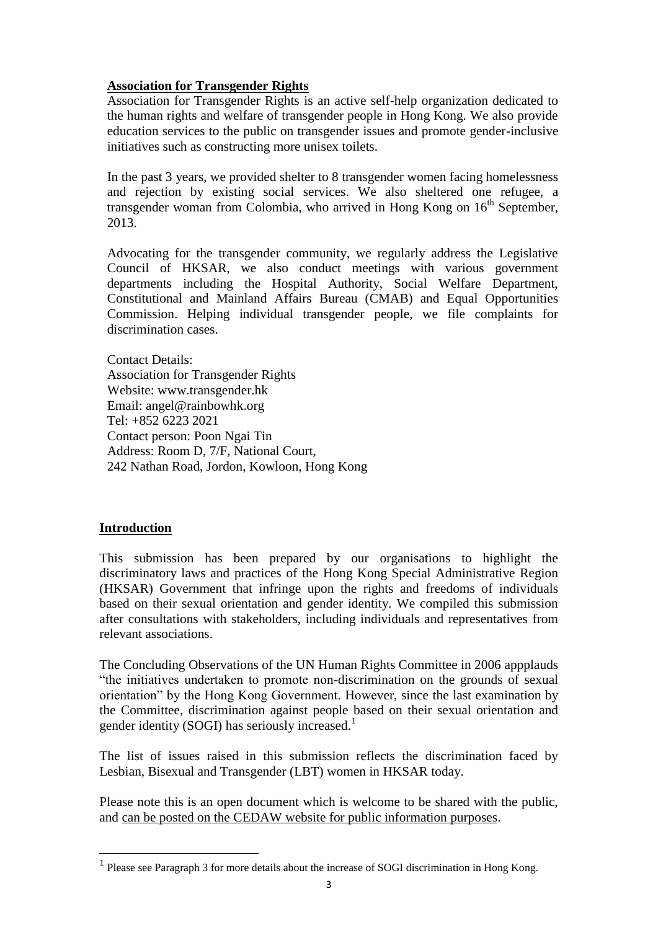### **Association for Transgender Rights**

Association for Transgender Rights is an active self-help organization dedicated to the human rights and welfare of transgender people in Hong Kong. We also provide education services to the public on transgender issues and promote gender-inclusive initiatives such as constructing more unisex toilets.

In the past 3 years, we provided shelter to 8 transgender women facing homelessness and rejection by existing social services. We also sheltered one refugee, a transgender woman from Colombia, who arrived in Hong Kong on  $16<sup>th</sup>$  September, 2013.

Advocating for the transgender community, we regularly address the Legislative Council of HKSAR, we also conduct meetings with various government departments including the Hospital Authority, Social Welfare Department, Constitutional and Mainland Affairs Bureau (CMAB) and Equal Opportunities Commission. Helping individual transgender people, we file complaints for discrimination cases.

Contact Details: Association for Transgender Rights Website: www.transgender.hk Email: angel@rainbowhk.org Tel: +852 6223 2021 Contact person: Poon Ngai Tin Address: Room D, 7/F, National Court, 242 Nathan Road, Jordon, Kowloon, Hong Kong

### **Introduction**

1

This submission has been prepared by our organisations to highlight the discriminatory laws and practices of the Hong Kong Special Administrative Region (HKSAR) Government that infringe upon the rights and freedoms of individuals based on their sexual orientation and gender identity. We compiled this submission after consultations with stakeholders, including individuals and representatives from relevant associations.

The Concluding Observations of the UN Human Rights Committee in 2006 appplauds "the initiatives undertaken to promote non-discrimination on the grounds of sexual orientation" by the Hong Kong Government. However, since the last examination by the Committee, discrimination against people based on their sexual orientation and gender identity (SOGI) has seriously increased.<sup>1</sup>

The list of issues raised in this submission reflects the discrimination faced by Lesbian, Bisexual and Transgender (LBT) women in HKSAR today.

Please note this is an open document which is welcome to be shared with the public, and can be posted on the CEDAW website for public information purposes.

<sup>&</sup>lt;sup>1</sup> Please see Paragraph 3 for more details about the increase of SOGI discrimination in Hong Kong.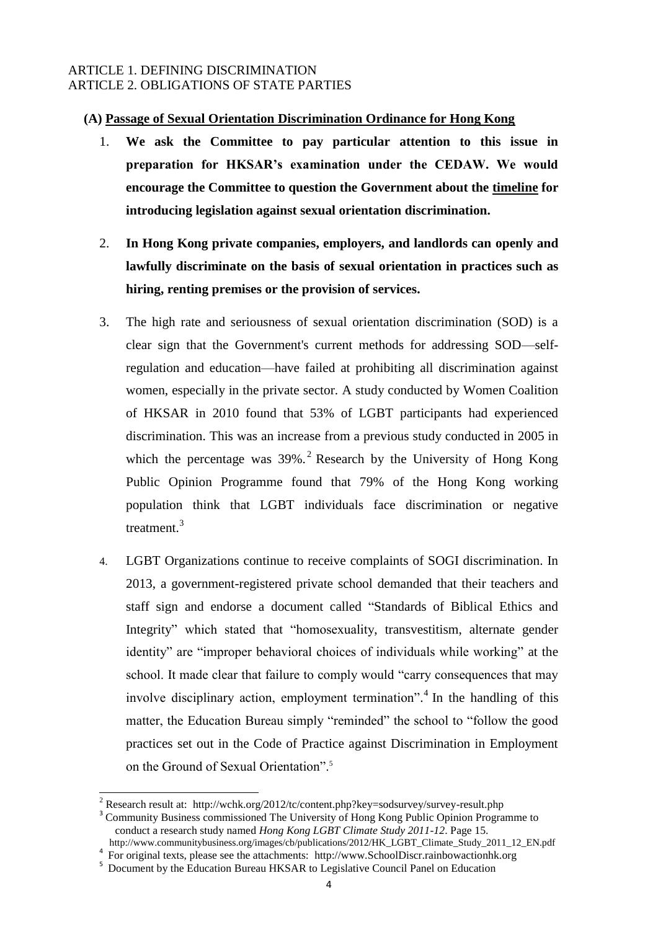### ARTICLE 1. DEFINING DISCRIMINATION ARTICLE 2. OBLIGATIONS OF STATE PARTIES

### **(A) Passage of Sexual Orientation Discrimination Ordinance for Hong Kong**

- 1. **We ask the Committee to pay particular attention to this issue in preparation for HKSAR's examination under the CEDAW. We would encourage the Committee to question the Government about the timeline for introducing legislation against sexual orientation discrimination.**
- 2. **In Hong Kong private companies, employers, and landlords can openly and lawfully discriminate on the basis of sexual orientation in practices such as hiring, renting premises or the provision of services.**
- 3. The high rate and seriousness of sexual orientation discrimination (SOD) is a clear sign that the Government's current methods for addressing SOD—selfregulation and education—have failed at prohibiting all discrimination against women, especially in the private sector. A study conducted by Women Coalition of HKSAR in 2010 found that 53% of LGBT participants had experienced discrimination. This was an increase from a previous study conducted in 2005 in which the percentage was  $39\%$ .<sup>2</sup> Research by the University of Hong Kong Public Opinion Programme found that 79% of the Hong Kong working population think that LGBT individuals face discrimination or negative treatment<sup>3</sup>
- 4. LGBT Organizations continue to receive complaints of SOGI discrimination. In 2013, a government-registered private school demanded that their teachers and staff sign and endorse a document called "Standards of Biblical Ethics and Integrity" which stated that "homosexuality, transvestitism, alternate gender identity" are "improper behavioral choices of individuals while working" at the school. It made clear that failure to comply would "carry consequences that may involve disciplinary action, employment termination".<sup>4</sup> In the handling of this matter, the Education Bureau simply "reminded" the school to "follow the good practices set out in the Code of Practice against Discrimination in Employment on the Ground of Sexual Orientation".<sup>5</sup>

<sup>2</sup> Research result at: http://wchk.org/2012/tc/content.php?key=sodsurvey/survey-result.php

<sup>&</sup>lt;sup>3</sup> Community Business commissioned The University of Hong Kong Public Opinion Programme to conduct a research study named *Hong Kong LGBT Climate Study 2011-12*. Page 15. http://www.communitybusiness.org/images/cb/publications/2012/HK\_LGBT\_Climate\_Study\_2011\_12\_EN.pdf

<sup>4</sup> For original texts, please see the attachments: http://www.SchoolDiscr.rainbowactionhk.org

<sup>&</sup>lt;sup>5</sup> Document by the Education Bureau HKSAR to Legislative Council Panel on Education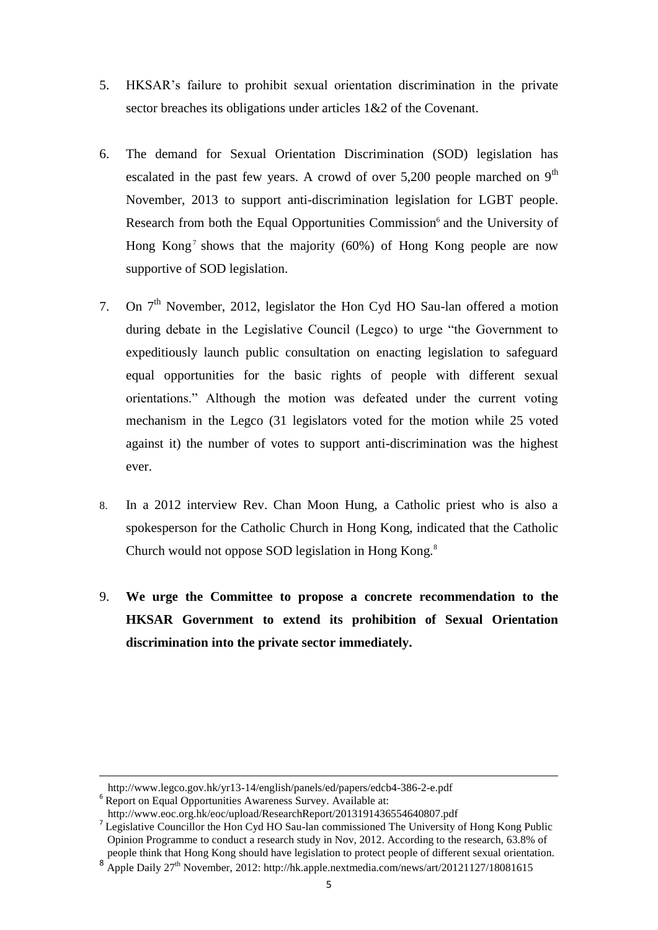- 5. HKSAR"s failure to prohibit sexual orientation discrimination in the private sector breaches its obligations under articles 1&2 of the Covenant.
- 6. The demand for Sexual Orientation Discrimination (SOD) legislation has escalated in the past few years. A crowd of over  $5,200$  people marched on  $9<sup>th</sup>$ November, 2013 to support anti-discrimination legislation for LGBT people. Research from both the Equal Opportunities Commission<sup>6</sup> and the University of Hong Kong<sup>7</sup> shows that the majority (60%) of Hong Kong people are now supportive of SOD legislation.
- 7. On  $7<sup>th</sup>$  November, 2012, legislator the Hon Cyd HO Sau-lan offered a motion during debate in the Legislative Council (Legco) to urge "the Government to expeditiously launch public consultation on enacting legislation to safeguard equal opportunities for the basic rights of people with different sexual orientations." Although the motion was defeated under the current voting mechanism in the Legco (31 legislators voted for the motion while 25 voted against it) the number of votes to support anti-discrimination was the highest ever.
- 8. In a 2012 interview Rev. Chan Moon Hung, a Catholic priest who is also a spokesperson for the Catholic Church in Hong Kong, indicated that the Catholic Church would not oppose SOD legislation in Hong Kong.<sup>8</sup>
- 9. **We urge the Committee to propose a concrete recommendation to the HKSAR Government to extend its prohibition of Sexual Orientation discrimination into the private sector immediately.**

http://www.legco.gov.hk/yr13-14/english/panels/ed/papers/edcb4-386-2-e.pdf

<sup>6</sup> Report on Equal Opportunities Awareness Survey. Available at:

http://www.eoc.org.hk/eoc/upload/ResearchReport/2013191436554640807.pdf

<sup>&</sup>lt;sup>7</sup> Legislative Councillor the Hon Cyd HO Sau-lan commissioned The University of Hong Kong Public Opinion Programme to conduct a research study in Nov, 2012. According to the research, 63.8% of people think that Hong Kong should have legislation to protect people of different sexual orientation.

<sup>&</sup>lt;sup>8</sup> Apple Daily 27<sup>th</sup> November, 2012: http://hk.apple.nextmedia.com/news/art/20121127/18081615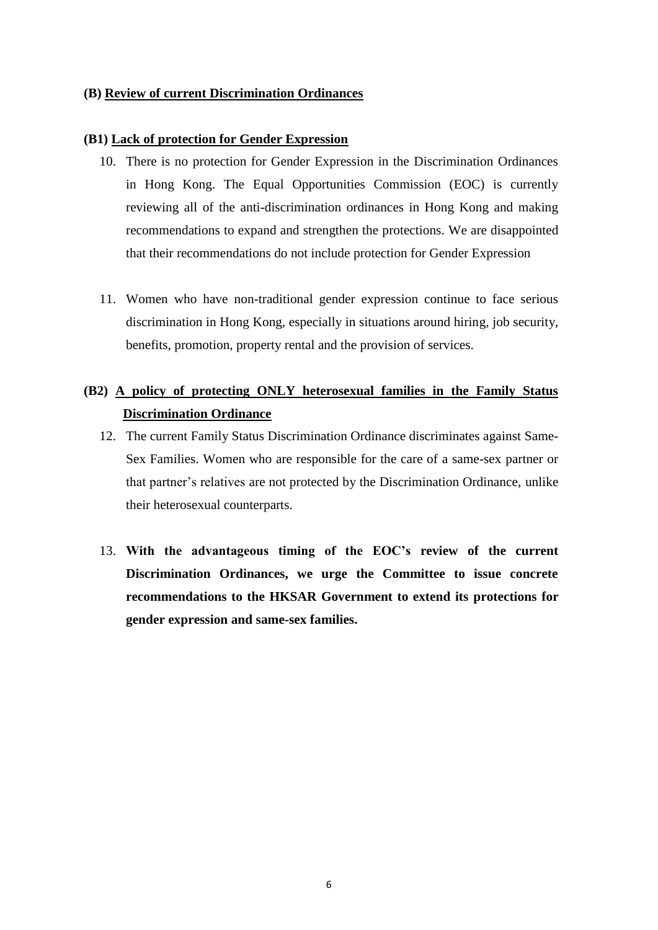### **(B) Review of current Discrimination Ordinances**

### **(B1) Lack of protection for Gender Expression**

- 10. There is no protection for Gender Expression in the Discrimination Ordinances in Hong Kong. The Equal Opportunities Commission (EOC) is currently reviewing all of the anti-discrimination ordinances in Hong Kong and making recommendations to expand and strengthen the protections. We are disappointed that their recommendations do not include protection for Gender Expression
- 11. Women who have non-traditional gender expression continue to face serious discrimination in Hong Kong, especially in situations around hiring, job security, benefits, promotion, property rental and the provision of services.

### **(B2) A policy of protecting ONLY heterosexual families in the Family Status Discrimination Ordinance**

- 12. The current Family Status Discrimination Ordinance discriminates against Same-Sex Families. Women who are responsible for the care of a same-sex partner or that partner"s relatives are not protected by the Discrimination Ordinance, unlike their heterosexual counterparts.
- 13. **With the advantageous timing of the EOC's review of the current Discrimination Ordinances, we urge the Committee to issue concrete recommendations to the HKSAR Government to extend its protections for gender expression and same-sex families.**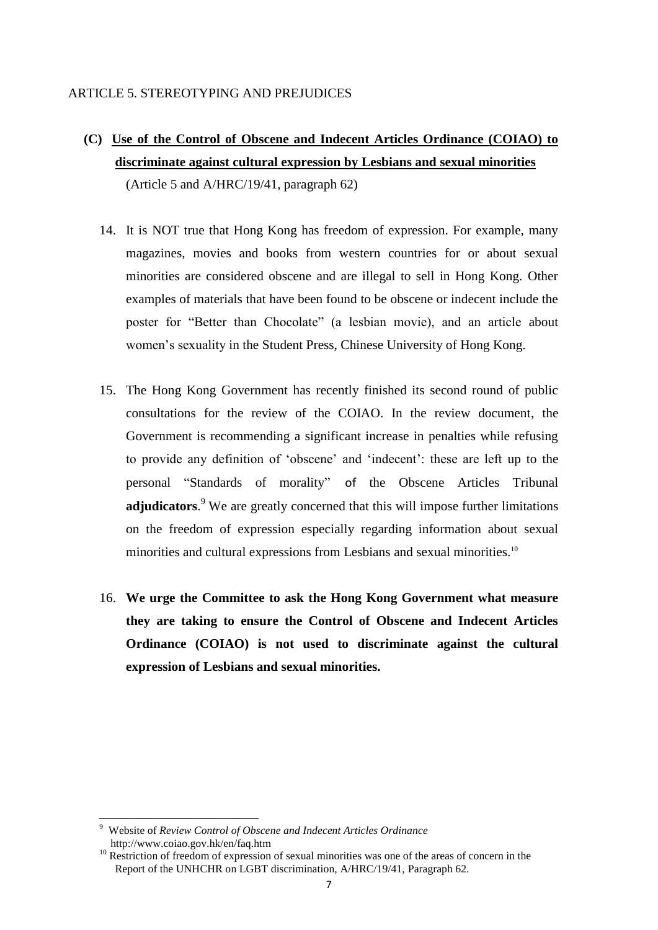### ARTICLE 5. STEREOTYPING AND PREJUDICES

**(C) Use of the Control of Obscene and Indecent Articles Ordinance (COIAO) to discriminate against cultural expression by Lesbians and sexual minorities**

(Article 5 and A/HRC/19/41, paragraph 62)

- 14. It is NOT true that Hong Kong has freedom of expression. For example, many magazines, movies and books from western countries for or about sexual minorities are considered obscene and are illegal to sell in Hong Kong. Other examples of materials that have been found to be obscene or indecent include the poster for "Better than Chocolate" (a lesbian movie), and an article about women"s sexuality in the Student Press, Chinese University of Hong Kong.
- 15. The Hong Kong Government has recently finished its second round of public consultations for the review of the COIAO. In the review document, the Government is recommending a significant increase in penalties while refusing to provide any definition of "obscene" and "indecent": these are left up to the personal "Standards of morality" of the Obscene Articles Tribunal **adjudicators**. <sup>9</sup> We are greatly concerned that this will impose further limitations on the freedom of expression especially regarding information about sexual minorities and cultural expressions from Lesbians and sexual minorities.<sup>10</sup>
- 16. **We urge the Committee to ask the Hong Kong Government what measure they are taking to ensure the Control of Obscene and Indecent Articles Ordinance (COIAO) is not used to discriminate against the cultural expression of Lesbians and sexual minorities.**

**<sup>.</sup>** 9 Website of *Review Control of Obscene and Indecent Articles Ordinance* http://www.coiao.gov.hk/en/faq.htm

<sup>&</sup>lt;sup>10</sup> Restriction of freedom of expression of sexual minorities was one of the areas of concern in the Report of the UNHCHR on LGBT discrimination, A/HRC/19/41, Paragraph 62.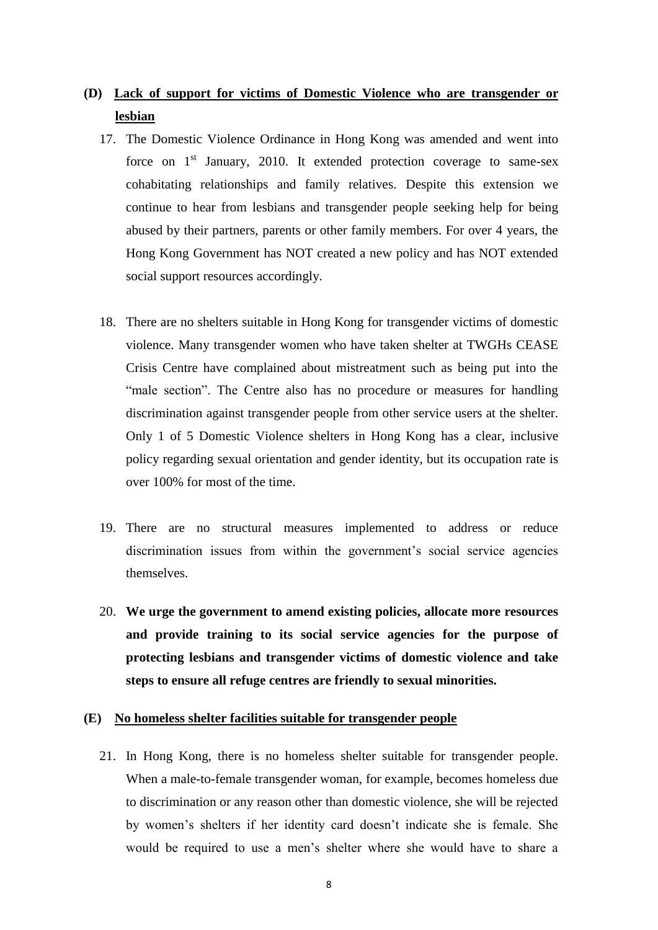### **(D) Lack of support for victims of Domestic Violence who are transgender or lesbian**

- 17. The Domestic Violence Ordinance in Hong Kong was amended and went into force on  $1<sup>st</sup>$  January, 2010. It extended protection coverage to same-sex cohabitating relationships and family relatives. Despite this extension we continue to hear from lesbians and transgender people seeking help for being abused by their partners, parents or other family members. For over 4 years, the Hong Kong Government has NOT created a new policy and has NOT extended social support resources accordingly.
- 18. There are no shelters suitable in Hong Kong for transgender victims of domestic violence. Many transgender women who have taken shelter at TWGHs CEASE Crisis Centre have complained about mistreatment such as being put into the "male section". The Centre also has no procedure or measures for handling discrimination against transgender people from other service users at the shelter. Only 1 of 5 Domestic Violence shelters in Hong Kong has a clear, inclusive policy regarding sexual orientation and gender identity, but its occupation rate is over 100% for most of the time.
- 19. There are no structural measures implemented to address or reduce discrimination issues from within the government's social service agencies themselves.
- 20. **We urge the government to amend existing policies, allocate more resources and provide training to its social service agencies for the purpose of protecting lesbians and transgender victims of domestic violence and take steps to ensure all refuge centres are friendly to sexual minorities.**

### **(E) No homeless shelter facilities suitable for transgender people**

21. In Hong Kong, there is no homeless shelter suitable for transgender people. When a male-to-female transgender woman, for example, becomes homeless due to discrimination or any reason other than domestic violence, she will be rejected by women"s shelters if her identity card doesn"t indicate she is female. She would be required to use a men"s shelter where she would have to share a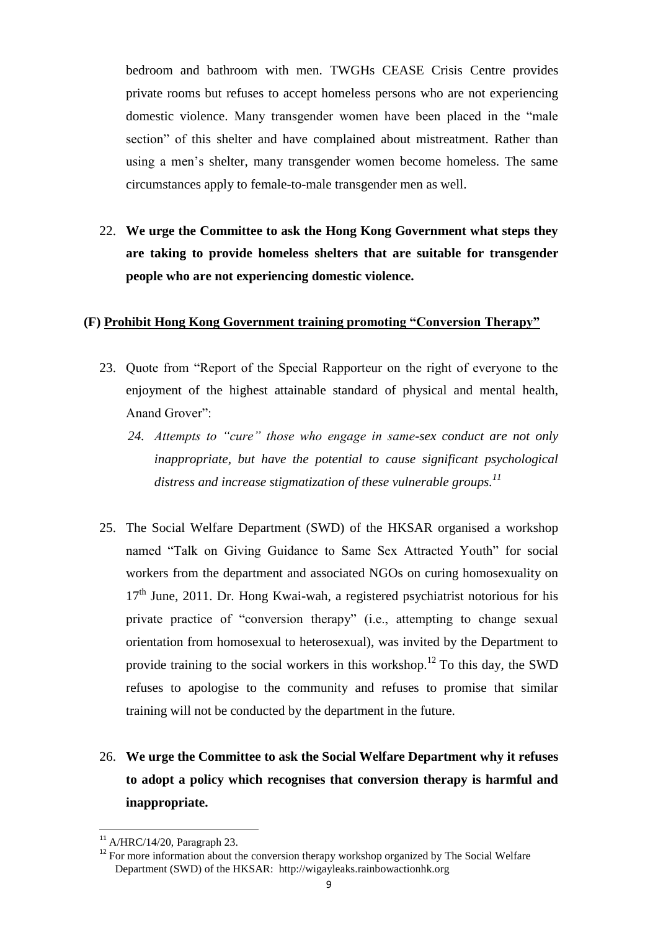bedroom and bathroom with men. TWGHs CEASE Crisis Centre provides private rooms but refuses to accept homeless persons who are not experiencing domestic violence. Many transgender women have been placed in the "male section" of this shelter and have complained about mistreatment. Rather than using a men"s shelter, many transgender women become homeless. The same circumstances apply to female-to-male transgender men as well.

22. **We urge the Committee to ask the Hong Kong Government what steps they are taking to provide homeless shelters that are suitable for transgender people who are not experiencing domestic violence.**

#### **(F) Prohibit Hong Kong Government training promoting "Conversion Therapy"**

- 23. Quote from "Report of the Special Rapporteur on the right of everyone to the enjoyment of the highest attainable standard of physical and mental health, Anand Grover":
	- *24. Attempts to "cure" those who engage in same-sex conduct are not only inappropriate, but have the potential to cause significant psychological distress and increase stigmatization of these vulnerable groups.<sup>11</sup>*
- 25. The Social Welfare Department (SWD) of the HKSAR organised a workshop named "Talk on Giving Guidance to Same Sex Attracted Youth" for social workers from the department and associated NGOs on curing homosexuality on  $17<sup>th</sup>$  June, 2011. Dr. Hong Kwai-wah, a registered psychiatrist notorious for his private practice of "conversion therapy" (i.e., attempting to change sexual orientation from homosexual to heterosexual), was invited by the Department to provide training to the social workers in this workshop.<sup>12</sup> To this day, the SWD refuses to apologise to the community and refuses to promise that similar training will not be conducted by the department in the future.
- 26. **We urge the Committee to ask the Social Welfare Department why it refuses to adopt a policy which recognises that conversion therapy is harmful and inappropriate.**

 $11$  A/HRC/14/20, Paragraph 23.

<sup>&</sup>lt;sup>12</sup> For more information about the conversion therapy workshop organized by The Social Welfare Department (SWD) of the HKSAR: http://wigayleaks.rainbowactionhk.org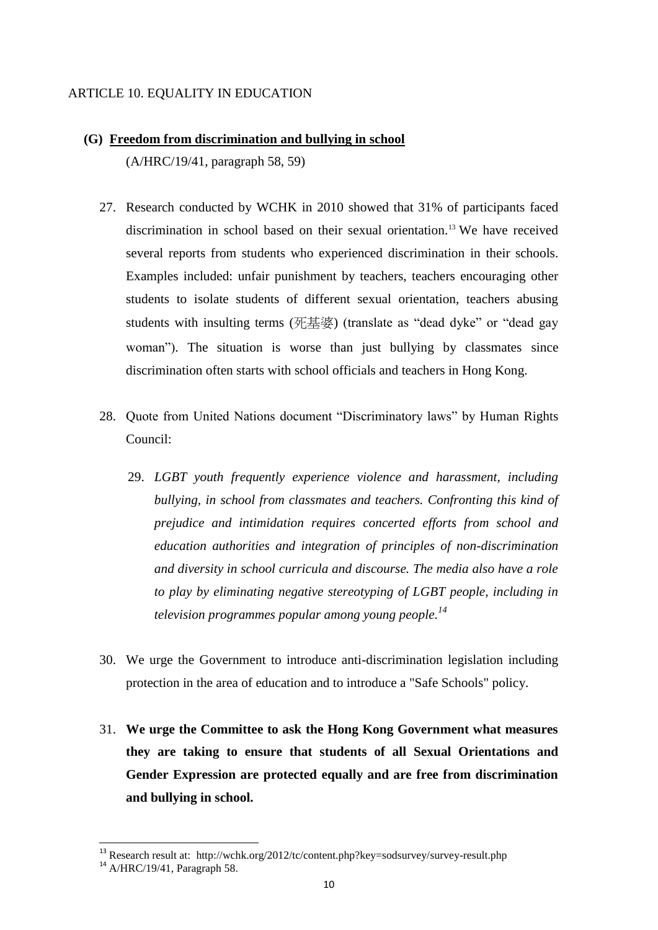### ARTICLE 10. EQUALITY IN EDUCATION

- **(G) Freedom from discrimination and bullying in school** (A/HRC/19/41, paragraph 58, 59)
	- 27. Research conducted by WCHK in 2010 showed that 31% of participants faced discrimination in school based on their sexual orientation.<sup>13</sup> We have received several reports from students who experienced discrimination in their schools. Examples included: unfair punishment by teachers, teachers encouraging other students to isolate students of different sexual orientation, teachers abusing students with insulting terms (死基婆) (translate as "dead dyke" or "dead gay woman"). The situation is worse than just bullying by classmates since discrimination often starts with school officials and teachers in Hong Kong.
	- 28. Quote from United Nations document "Discriminatory laws" by Human Rights Council:
		- 29. *LGBT youth frequently experience violence and harassment, including bullying, in school from classmates and teachers. Confronting this kind of prejudice and intimidation requires concerted efforts from school and education authorities and integration of principles of non-discrimination and diversity in school curricula and discourse. The media also have a role to play by eliminating negative stereotyping of LGBT people, including in television programmes popular among young people.<sup>14</sup>*
	- 30. We urge the Government to introduce anti-discrimination legislation including protection in the area of education and to introduce a "Safe Schools" policy.
	- 31. **We urge the Committee to ask the Hong Kong Government what measures they are taking to ensure that students of all Sexual Orientations and Gender Expression are protected equally and are free from discrimination and bullying in school.**

**-**

<sup>&</sup>lt;sup>13</sup> Research result at: http://wchk.org/2012/tc/content.php?key=sodsurvey/survey-result.php

<sup>14</sup> A/HRC/19/41, Paragraph 58.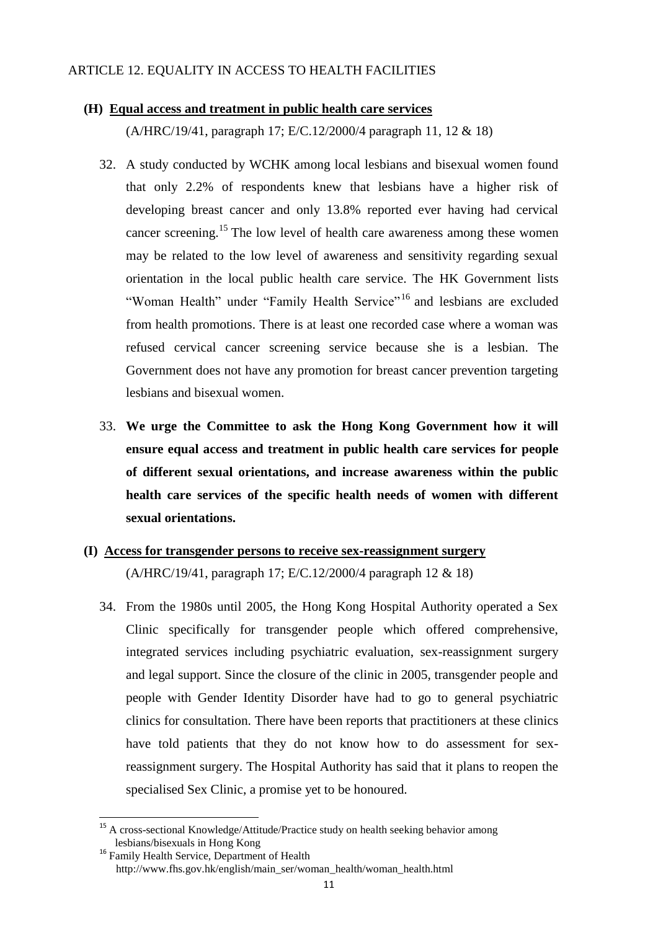### ARTICLE 12. EQUALITY IN ACCESS TO HEALTH FACILITIES

### **(H) Equal access and treatment in public health care services**

(A/HRC/19/41, paragraph 17; E/C.12/2000/4 paragraph 11, 12 & 18)

- 32. A study conducted by WCHK among local lesbians and bisexual women found that only 2.2% of respondents knew that lesbians have a higher risk of developing breast cancer and only 13.8% reported ever having had cervical cancer screening.<sup>15</sup> The low level of health care awareness among these women may be related to the low level of awareness and sensitivity regarding sexual orientation in the local public health care service. The HK Government lists "Woman Health" under "Family Health Service"<sup>16</sup> and lesbians are excluded from health promotions. There is at least one recorded case where a woman was refused cervical cancer screening service because she is a lesbian. The Government does not have any promotion for breast cancer prevention targeting lesbians and bisexual women.
- 33. **We urge the Committee to ask the Hong Kong Government how it will ensure equal access and treatment in public health care services for people of different sexual orientations, and increase awareness within the public health care services of the specific health needs of women with different sexual orientations.**

# **(I) Access for transgender persons to receive sex-reassignment surgery** (A/HRC/19/41, paragraph 17; E/C.12/2000/4 paragraph 12 & 18)

34. From the 1980s until 2005, the Hong Kong Hospital Authority operated a Sex Clinic specifically for transgender people which offered comprehensive, integrated services including psychiatric evaluation, sex-reassignment surgery and legal support. Since the closure of the clinic in 2005, transgender people and people with Gender Identity Disorder have had to go to general psychiatric clinics for consultation. There have been reports that practitioners at these clinics have told patients that they do not know how to do assessment for sexreassignment surgery. The Hospital Authority has said that it plans to reopen the specialised Sex Clinic, a promise yet to be honoured.

1

<sup>&</sup>lt;sup>15</sup> A cross-sectional Knowledge/Attitude/Practice study on health seeking behavior among lesbians/bisexuals in Hong Kong

<sup>&</sup>lt;sup>16</sup> Family Health Service, Department of Health http://www.fhs.gov.hk/english/main\_ser/woman\_health/woman\_health.html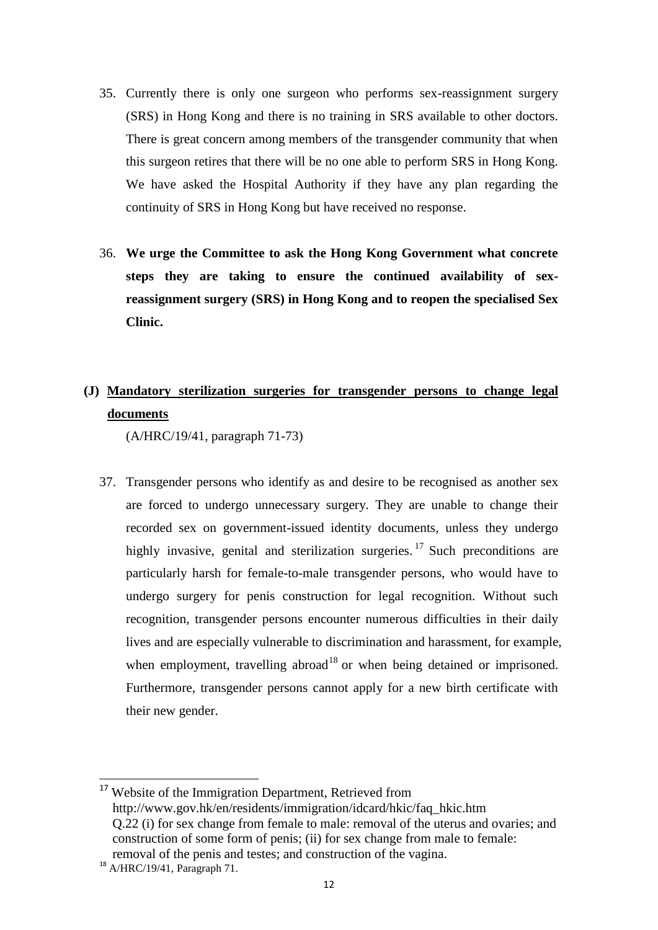- 35. Currently there is only one surgeon who performs sex-reassignment surgery (SRS) in Hong Kong and there is no training in SRS available to other doctors. There is great concern among members of the transgender community that when this surgeon retires that there will be no one able to perform SRS in Hong Kong. We have asked the Hospital Authority if they have any plan regarding the continuity of SRS in Hong Kong but have received no response.
- 36. **We urge the Committee to ask the Hong Kong Government what concrete steps they are taking to ensure the continued availability of sexreassignment surgery (SRS) in Hong Kong and to reopen the specialised Sex Clinic.**

# **(J) Mandatory sterilization surgeries for transgender persons to change legal documents**

(A/HRC/19/41, paragraph 71-73)

37. Transgender persons who identify as and desire to be recognised as another sex are forced to undergo unnecessary surgery. They are unable to change their recorded sex on government-issued identity documents, unless they undergo highly invasive, genital and sterilization surgeries.<sup>17</sup> Such preconditions are particularly harsh for female-to-male transgender persons, who would have to undergo surgery for penis construction for legal recognition. Without such recognition, transgender persons encounter numerous difficulties in their daily lives and are especially vulnerable to discrimination and harassment, for example, when employment, travelling abroad<sup>18</sup> or when being detained or imprisoned. Furthermore, transgender persons cannot apply for a new birth certificate with their new gender.

<sup>&</sup>lt;sup>17</sup> Website of the Immigration Department, Retrieved from http://www.gov.hk/en/residents/immigration/idcard/hkic/faq\_hkic.htm Q.22 (i) for sex change from female to male: removal of the uterus and ovaries; and construction of some form of penis; (ii) for sex change from male to female: removal of the penis and testes; and construction of the vagina.

 $18$  A/HRC/19/41, Paragraph 71.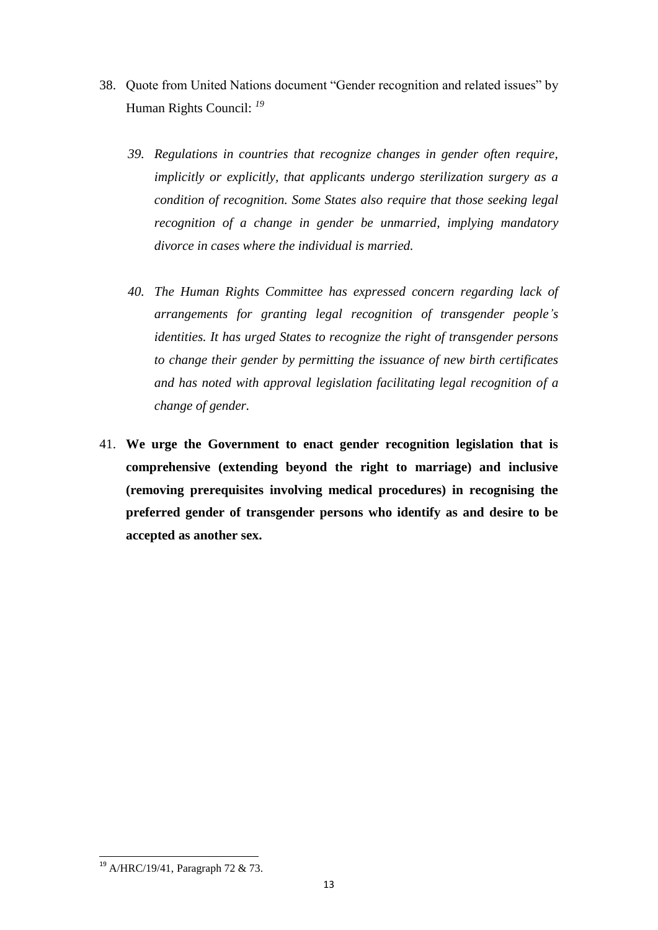- 38. Quote from United Nations document "Gender recognition and related issues" by Human Rights Council: *<sup>19</sup>*
	- *39. Regulations in countries that recognize changes in gender often require, implicitly or explicitly, that applicants undergo sterilization surgery as a condition of recognition. Some States also require that those seeking legal recognition of a change in gender be unmarried, implying mandatory divorce in cases where the individual is married.*
	- *40. The Human Rights Committee has expressed concern regarding lack of arrangements for granting legal recognition of transgender people's identities. It has urged States to recognize the right of transgender persons to change their gender by permitting the issuance of new birth certificates and has noted with approval legislation facilitating legal recognition of a change of gender.*
- 41. **We urge the Government to enact gender recognition legislation that is comprehensive (extending beyond the right to marriage) and inclusive (removing prerequisites involving medical procedures) in recognising the preferred gender of transgender persons who identify as and desire to be accepted as another sex.**

1

<sup>&</sup>lt;sup>19</sup> A/HRC/19/41, Paragraph 72 & 73.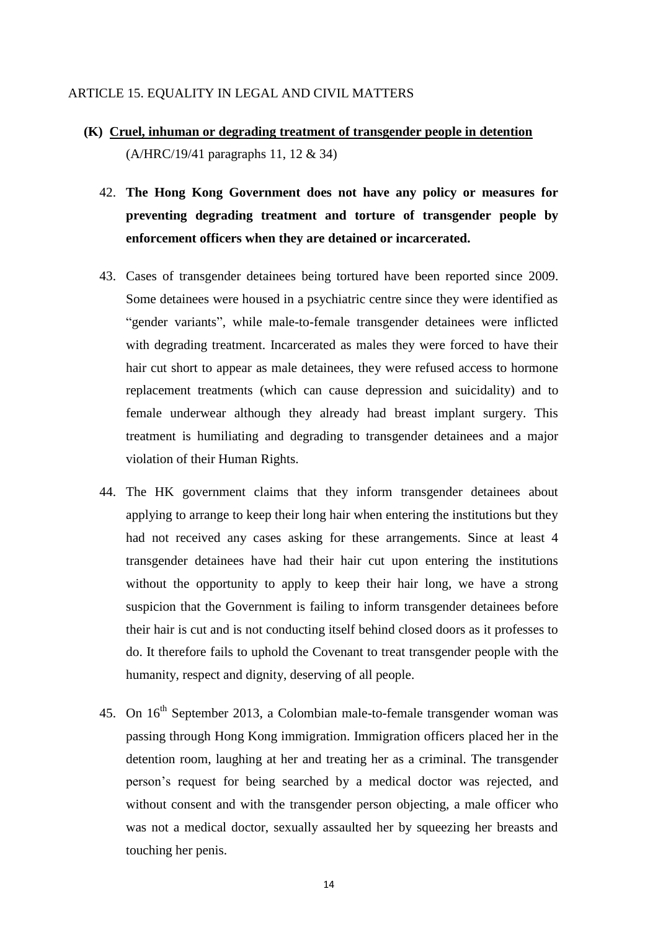#### ARTICLE 15. EQUALITY IN LEGAL AND CIVIL MATTERS

- **(K) Cruel, inhuman or degrading treatment of transgender people in detention** (A/HRC/19/41 paragraphs 11, 12 & 34)
	- 42. **The Hong Kong Government does not have any policy or measures for preventing degrading treatment and torture of transgender people by enforcement officers when they are detained or incarcerated.**
	- 43. Cases of transgender detainees being tortured have been reported since 2009. Some detainees were housed in a psychiatric centre since they were identified as "gender variants", while male-to-female transgender detainees were inflicted with degrading treatment. Incarcerated as males they were forced to have their hair cut short to appear as male detainees, they were refused access to hormone replacement treatments (which can cause depression and suicidality) and to female underwear although they already had breast implant surgery. This treatment is humiliating and degrading to transgender detainees and a major violation of their Human Rights.
	- 44. The HK government claims that they inform transgender detainees about applying to arrange to keep their long hair when entering the institutions but they had not received any cases asking for these arrangements. Since at least 4 transgender detainees have had their hair cut upon entering the institutions without the opportunity to apply to keep their hair long, we have a strong suspicion that the Government is failing to inform transgender detainees before their hair is cut and is not conducting itself behind closed doors as it professes to do. It therefore fails to uphold the Covenant to treat transgender people with the humanity, respect and dignity, deserving of all people.
	- 45. On 16<sup>th</sup> September 2013, a Colombian male-to-female transgender woman was passing through Hong Kong immigration. Immigration officers placed her in the detention room, laughing at her and treating her as a criminal. The transgender person"s request for being searched by a medical doctor was rejected, and without consent and with the transgender person objecting, a male officer who was not a medical doctor, sexually assaulted her by squeezing her breasts and touching her penis.